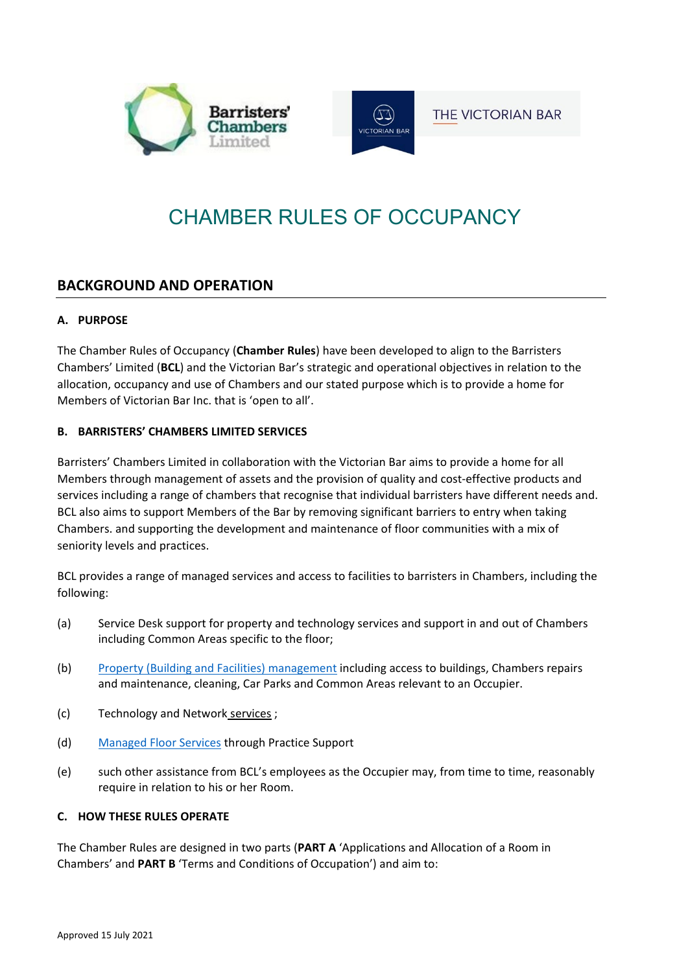



**THE VICTORIAN BAR** 

# CHAMBER RULES OF OCCUPANCY

# **BACKGROUND AND OPERATION**

## **A. PURPOSE**

The Chamber Rules of Occupancy (**Chamber Rules**) have been developed to align to the Barristers Chambers' Limited (**BCL**) and the Victorian Bar's strategic and operational objectives in relation to the allocation, occupancy and use of Chambers and our stated purpose which is to provide a home for Members of Victorian Bar Inc. that is 'open to all'.

## **B. BARRISTERS' CHAMBERS LIMITED SERVICES**

Barristers' Chambers Limited in collaboration with the Victorian Bar aims to provide a home for all Members through management of assets and the provision of quality and cost-effective products and services including a range of chambers that recognise that individual barristers have different needs and. BCL also aims to support Members of the Bar by removing significant barriers to entry when taking Chambers. and supporting the development and maintenance of floor communities with a mix of seniority levels and practices.

BCL provides a range of managed services and access to facilities to barristers in Chambers, including the following:

- (a) Service Desk support for property and technology services and support in and out of Chambers including Common Areas specific to the floor;
- (b) [Property \(Building and Facilities\) management](https://www.bcl.net.au/property/property-services-support/) including access to buildings, Chambers repairs and maintenance, cleaning, Car Parks and Common Areas relevant to an Occupier.
- (c) [Technology and Network](https://www.bcl.net.au/technology/technology/) services ;
- (d) [Managed Floor Services](https://www.bcl.net.au/managed-floor-services/) through Practice Support
- (e) such other assistance from BCL's employees as the Occupier may, from time to time, reasonably require in relation to his or her Room.

## **C. HOW THESE RULES OPERATE**

The Chamber Rules are designed in two parts (**PART A** 'Applications and Allocation of a Room in Chambers' and **PART B** 'Terms and Conditions of Occupation') and aim to: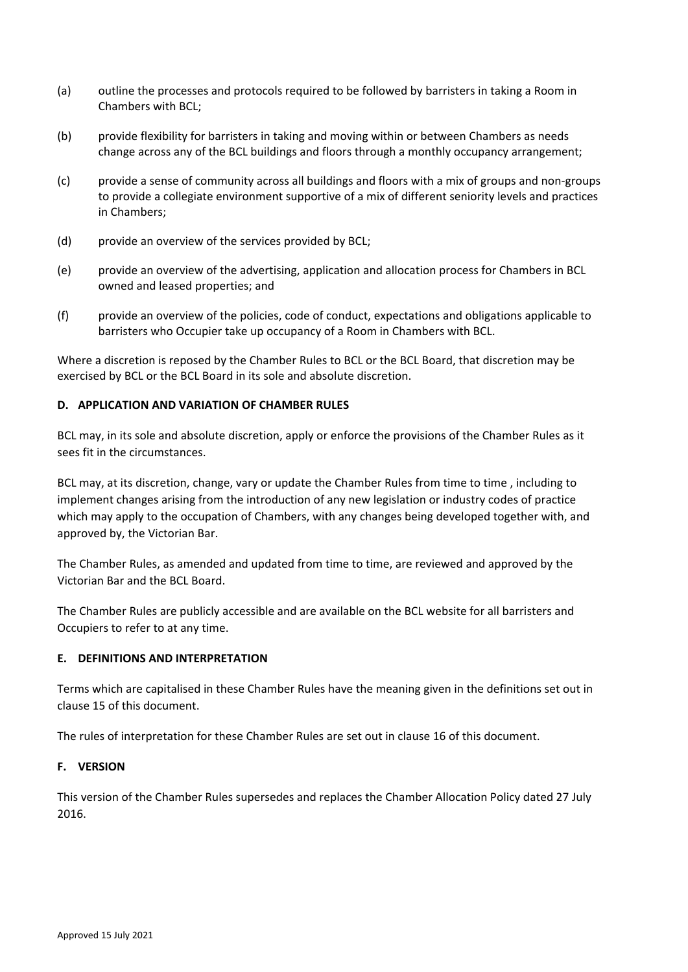- (a) outline the processes and protocols required to be followed by barristers in taking a Room in Chambers with BCL;
- (b) provide flexibility for barristers in taking and moving within or between Chambers as needs change across any of the BCL buildings and floors through a monthly occupancy arrangement;
- (c) provide a sense of community across all buildings and floors with a mix of groups and non-groups to provide a collegiate environment supportive of a mix of different seniority levels and practices in Chambers;
- (d) provide an overview of the services provided by BCL;
- (e) provide an overview of the advertising, application and allocation process for Chambers in BCL owned and leased properties; and
- (f) provide an overview of the policies, code of conduct, expectations and obligations applicable to barristers who Occupier take up occupancy of a Room in Chambers with BCL.

Where a discretion is reposed by the Chamber Rules to BCL or the BCL Board, that discretion may be exercised by BCL or the BCL Board in its sole and absolute discretion.

## **D. APPLICATION AND VARIATION OF CHAMBER RULES**

BCL may, in its sole and absolute discretion, apply or enforce the provisions of the Chamber Rules as it sees fit in the circumstances.

BCL may, at its discretion, change, vary or update the Chamber Rules from time to time , including to implement changes arising from the introduction of any new legislation or industry codes of practice which may apply to the occupation of Chambers, with any changes being developed together with, and approved by, the Victorian Bar.

The Chamber Rules, as amended and updated from time to time, are reviewed and approved by the Victorian Bar and the BCL Board.

The Chamber Rules are publicly accessible and are available on the BCL website for all barristers and Occupiers to refer to at any time.

## **E. DEFINITIONS AND INTERPRETATION**

Terms which are capitalised in these Chamber Rules have the meaning given in the definitions set out in clause 15 of this document.

The rules of interpretation for these Chamber Rules are set out in clause 16 of this document.

## **F. VERSION**

This version of the Chamber Rules supersedes and replaces the Chamber Allocation Policy dated 27 July 2016.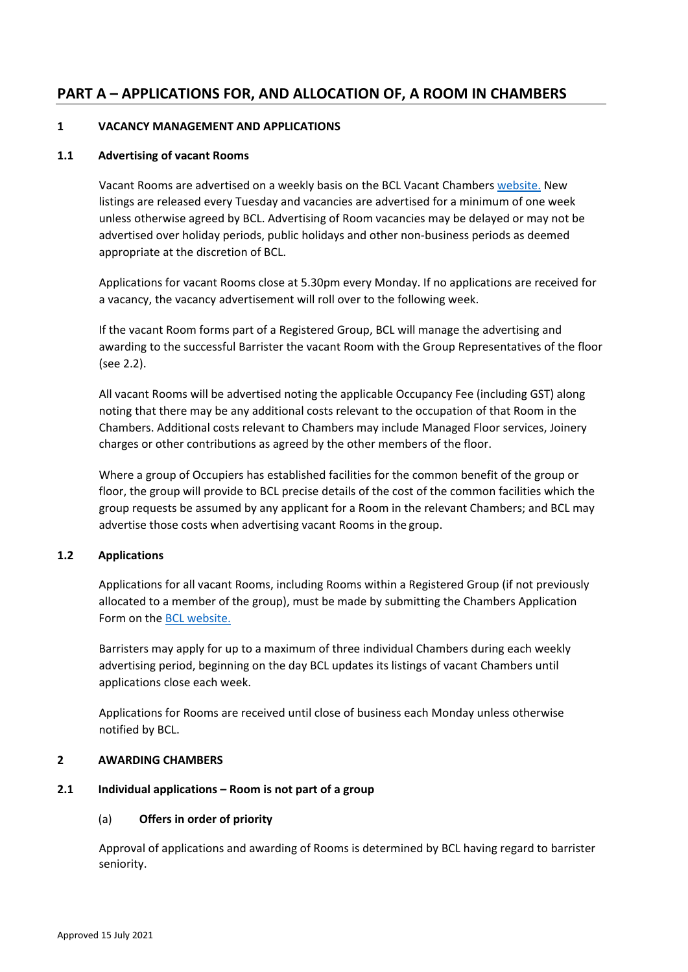# **PART A – APPLICATIONS FOR, AND ALLOCATION OF, A ROOM IN CHAMBERS**

## **1 VACANCY MANAGEMENT AND APPLICATIONS**

#### **1.1 Advertising of vacant Rooms**

Vacant Rooms are advertised on a weekly basis on the BCL Vacant Chambers [website.](https://www.bcl.net.au/chambers/vacancies/) New listings are released every Tuesday and vacancies are advertised for a minimum of one week unless otherwise agreed by BCL. Advertising of Room vacancies may be delayed or may not be advertised over holiday periods, public holidays and other non-business periods as deemed appropriate at the discretion of BCL.

Applications for vacant Rooms close at 5.30pm every Monday. If no applications are received for a vacancy, the vacancy advertisement will roll over to the following week.

If the vacant Room forms part of a Registered Group, BCL will manage the advertising and awarding to the successful Barrister the vacant Room with the Group Representatives of the floor (se[e 2.2\)](#page-3-0).

All vacant Rooms will be advertised noting the applicable Occupancy Fee (including GST) along noting that there may be any additional costs relevant to the occupation of that Room in the Chambers. Additional costs relevant to Chambers may include Managed Floor services, Joinery charges or other contributions as agreed by the other members of the floor.

Where a group of Occupiers has established facilities for the common benefit of the group or floor, the group will provide to BCL precise details of the cost of the common facilities which the group requests be assumed by any applicant for a Room in the relevant Chambers; and BCL may advertise those costs when advertising vacant Rooms in the group.

## **1.2 Applications**

Applications for all vacant Rooms, including Rooms within a Registered Group (if not previously allocated to a member of the group), must be made by submitting the Chambers Application Form on the [BCL website.](https://www.bcl.net.au/chambers/vacancies/)

Barristers may apply for up to a maximum of three individual Chambers during each weekly advertising period, beginning on the day BCL updates its listings of vacant Chambers until applications close each week.

Applications for Rooms are received until close of business each Monday unless otherwise notified by BCL.

#### **2 AWARDING CHAMBERS**

## <span id="page-2-0"></span>**2.1 Individual applications – Room is not part of a group**

## (a) **Offers in order of priority**

Approval of applications and awarding of Rooms is determined by BCL having regard to barrister seniority.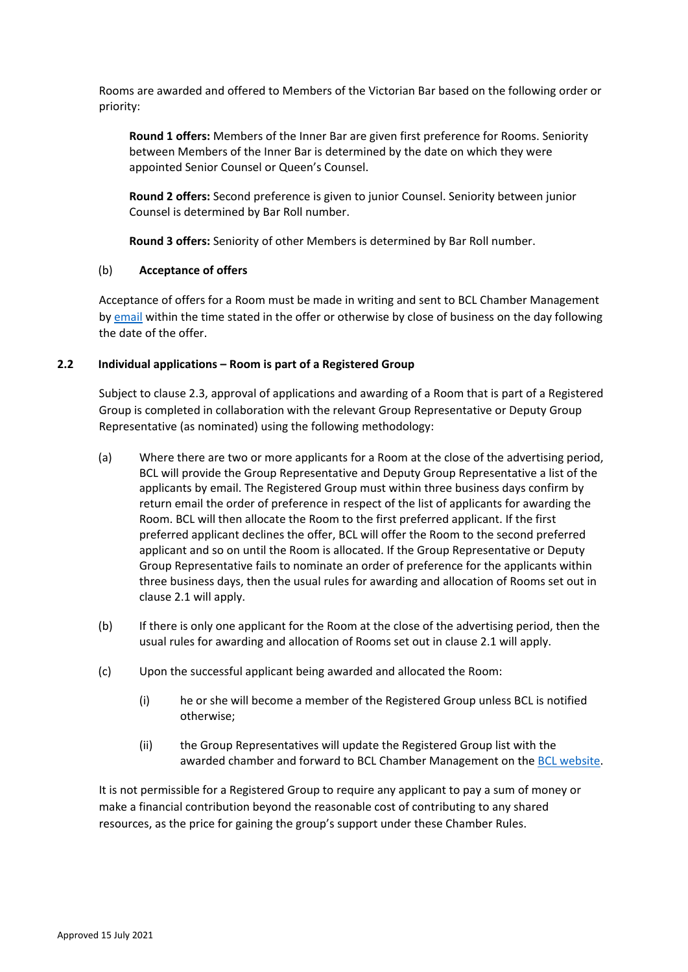Rooms are awarded and offered to Members of the Victorian Bar based on the following order or priority:

**Round 1 offers:** Members of the Inner Bar are given first preference for Rooms. Seniority between Members of the Inner Bar is determined by the date on which they were appointed Senior Counsel or Queen's Counsel.

**Round 2 offers:** Second preference is given to junior Counsel. Seniority between junior Counsel is determined by Bar Roll number.

**Round 3 offers:** Seniority of other Members is determined by Bar Roll number.

## (b) **Acceptance of offers**

Acceptance of offers for a Room must be made in writing and sent to BCL Chamber Management by [email](mailto:BCLChambers@vicbar.com.au) within the time stated in the offer or otherwise by close of business on the day following the date of the offer.

## <span id="page-3-0"></span>**2.2 Individual applications – Room is part of a Registered Group**

Subject to claus[e 2.3,](#page-4-0) approval of applications and awarding of a Room that is part of a Registered Group is completed in collaboration with the relevant Group Representative or Deputy Group Representative (as nominated) using the following methodology:

- (a) Where there are two or more applicants for a Room at the close of the advertising period, BCL will provide the Group Representative and Deputy Group Representative a list of the applicants by email. The Registered Group must within three business days confirm by return email the order of preference in respect of the list of applicants for awarding the Room. BCL will then allocate the Room to the first preferred applicant. If the first preferred applicant declines the offer, BCL will offer the Room to the second preferred applicant and so on until the Room is allocated. If the Group Representative or Deputy Group Representative fails to nominate an order of preference for the applicants within three business days, then the usual rules for awarding and allocation of Rooms set out in clause [2.1](#page-2-0) will apply.
- (b) If there is only one applicant for the Room at the close of the advertising period, then the usual rules for awarding and allocation of Rooms set out in clause [2.1](#page-2-0) will apply.
- (c) Upon the successful applicant being awarded and allocated the Room:
	- (i) he or she will become a member of the Registered Group unless BCL is notified otherwise;
	- (ii) the Group Representatives will update the Registered Group list with the awarded chamber and forward to BCL Chamber Management on th[e BCL website.](https://barristerschamberslimited.formstack.com/forms/group_registration_form)

It is not permissible for a Registered Group to require any applicant to pay a sum of money or make a financial contribution beyond the reasonable cost of contributing to any shared resources, as the price for gaining the group's support under these Chamber Rules.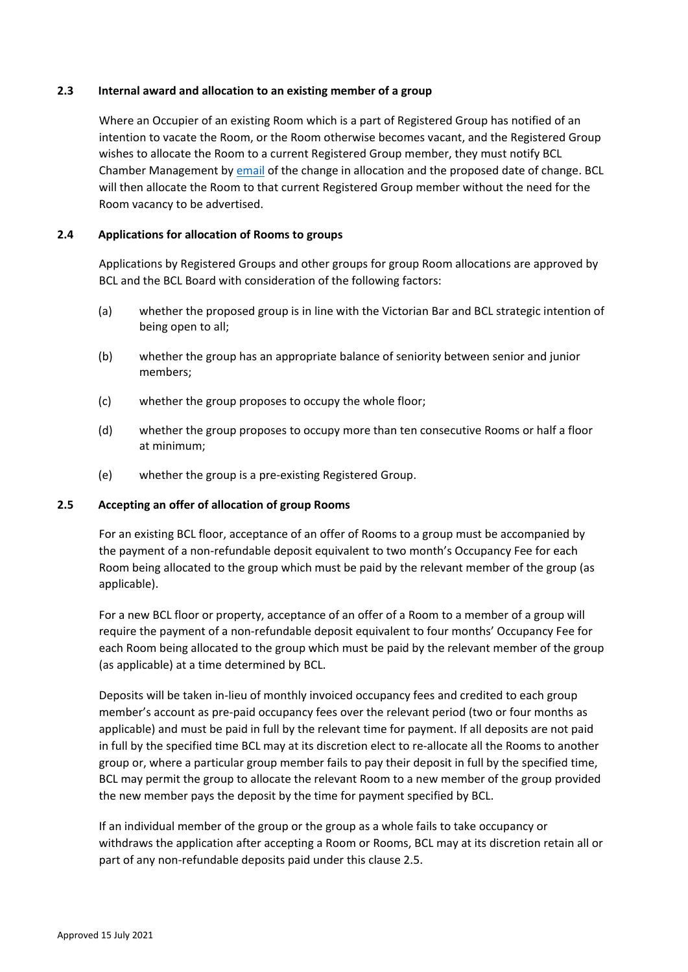## <span id="page-4-0"></span>**2.3 Internal award and allocation to an existing member of a group**

Where an Occupier of an existing Room which is a part of Registered Group has notified of an intention to vacate the Room, or the Room otherwise becomes vacant, and the Registered Group wishes to allocate the Room to a current Registered Group member, they must notify BCL Chamber Management b[y email](mailto:BCLchambers@vicbar.com.au) of the change in allocation and the proposed date of change. BCL will then allocate the Room to that current Registered Group member without the need for the Room vacancy to be advertised.

#### <span id="page-4-2"></span>**2.4 Applications for allocation of Rooms to groups**

Applications by Registered Groups and other groups for group Room allocations are approved by BCL and the BCL Board with consideration of the following factors:

- (a) whether the proposed group is in line with the Victorian Bar and BCL strategic intention of being open to all;
- (b) whether the group has an appropriate balance of seniority between senior and junior members;
- (c) whether the group proposes to occupy the whole floor;
- (d) whether the group proposes to occupy more than ten consecutive Rooms or half a floor at minimum;
- (e) whether the group is a pre-existing Registered Group.

#### <span id="page-4-1"></span>**2.5 Accepting an offer of allocation of group Rooms**

For an existing BCL floor, acceptance of an offer of Rooms to a group must be accompanied by the payment of a non-refundable deposit equivalent to two month's Occupancy Fee for each Room being allocated to the group which must be paid by the relevant member of the group (as applicable).

For a new BCL floor or property, acceptance of an offer of a Room to a member of a group will require the payment of a non-refundable deposit equivalent to four months' Occupancy Fee for each Room being allocated to the group which must be paid by the relevant member of the group (as applicable) at a time determined by BCL.

Deposits will be taken in-lieu of monthly invoiced occupancy fees and credited to each group member's account as pre-paid occupancy fees over the relevant period (two or four months as applicable) and must be paid in full by the relevant time for payment. If all deposits are not paid in full by the specified time BCL may at its discretion elect to re-allocate all the Rooms to another group or, where a particular group member fails to pay their deposit in full by the specified time, BCL may permit the group to allocate the relevant Room to a new member of the group provided the new member pays the deposit by the time for payment specified by BCL.

If an individual member of the group or the group as a whole fails to take occupancy or withdraws the application after accepting a Room or Rooms, BCL may at its discretion retain all or part of any non-refundable deposits paid under this clause [2.5.](#page-4-1)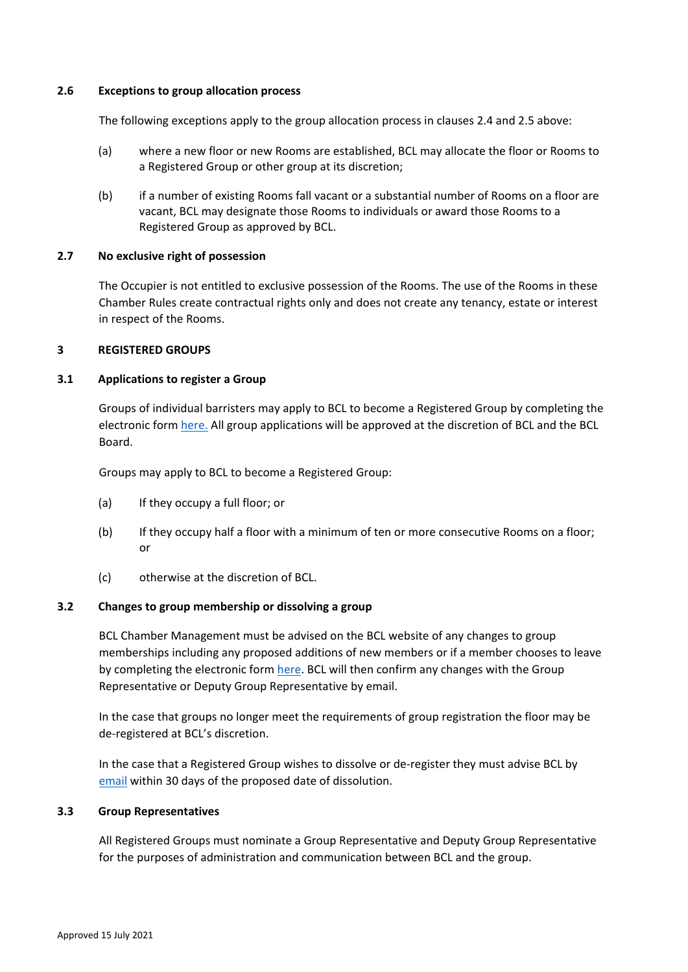#### **2.6 Exceptions to group allocation process**

The following exceptions apply to the group allocation process in clauses [2.4](#page-4-2) an[d 2.5](#page-4-1) above:

- (a) where a new floor or new Rooms are established, BCL may allocate the floor or Rooms to a Registered Group or other group at its discretion;
- (b) if a number of existing Rooms fall vacant or a substantial number of Rooms on a floor are vacant, BCL may designate those Rooms to individuals or award those Rooms to a Registered Group as approved by BCL.

## **2.7 No exclusive right of possession**

The Occupier is not entitled to exclusive possession of the Rooms. The use of the Rooms in these Chamber Rules create contractual rights only and does not create any tenancy, estate or interest in respect of the Rooms.

### **3 REGISTERED GROUPS**

## **3.1 Applications to register a Group**

Groups of individual barristers may apply to BCL to become a Registered Group by completing the electronic form [here.](https://barristerschamberslimited.formstack.com/forms/group_registration_form) All group applications will be approved at the discretion of BCL and the BCL Board.

Groups may apply to BCL to become a Registered Group:

- (a) If they occupy a full floor; or
- (b) If they occupy half a floor with a minimum of ten or more consecutive Rooms on a floor; or
- (c) otherwise at the discretion of BCL.

## **3.2 Changes to group membership or dissolving a group**

BCL Chamber Management must be advised on the BCL website of any changes to group memberships including any proposed additions of new members or if a member chooses to leave by completing the electronic form [here.](https://barristerschamberslimited.formstack.com/forms/group_registration_form) BCL will then confirm any changes with the Group Representative or Deputy Group Representative by email.

In the case that groups no longer meet the requirements of group registration the floor may be de-registered at BCL's discretion.

In the case that a Registered Group wishes to dissolve or de-register they must advise BCL by [email](mailto:BCLchambers@vicbar.com.au) within 30 days of the proposed date of dissolution.

#### **3.3 Group Representatives**

All Registered Groups must nominate a Group Representative and Deputy Group Representative for the purposes of administration and communication between BCL and the group.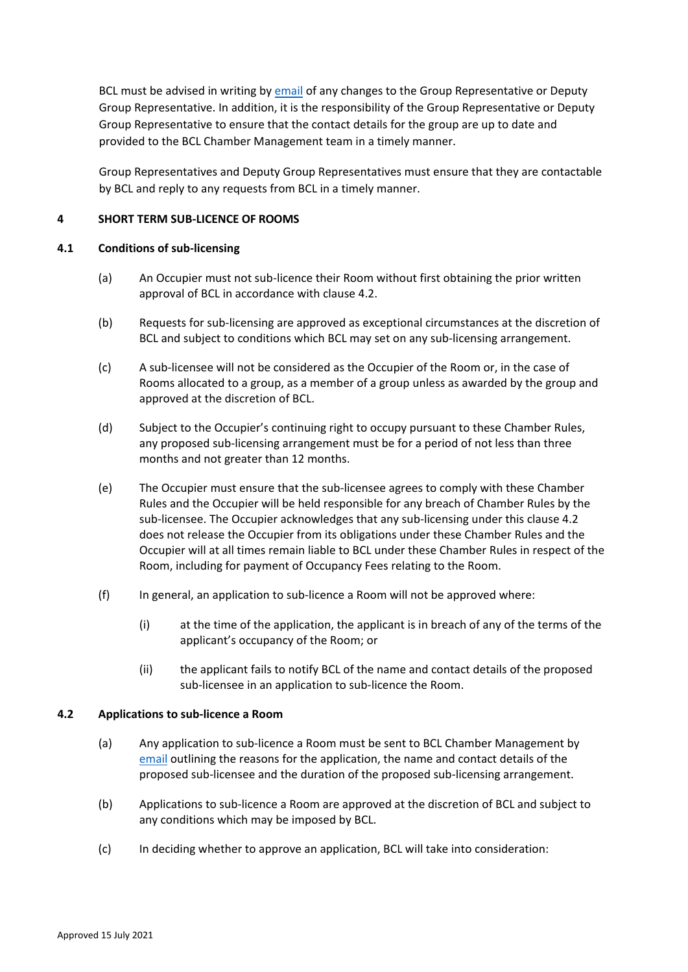BCL must be advised in writing by [email](mailto:BCLchambers@vicbar.com.au) of any changes to the Group Representative or Deputy Group Representative. In addition, it is the responsibility of the Group Representative or Deputy Group Representative to ensure that the contact details for the group are up to date and provided to the BCL Chamber Management team in a timely manner.

Group Representatives and Deputy Group Representatives must ensure that they are contactable by BCL and reply to any requests from BCL in a timely manner.

## **4 SHORT TERM SUB-LICENCE OF ROOMS**

#### **4.1 Conditions of sub-licensing**

- (a) An Occupier must not sub-licence their Room without first obtaining the prior written approval of BCL in accordance with clause [4.2.](#page-6-0)
- (b) Requests for sub-licensing are approved as exceptional circumstances at the discretion of BCL and subject to conditions which BCL may set on any sub-licensing arrangement.
- (c) A sub-licensee will not be considered as the Occupier of the Room or, in the case of Rooms allocated to a group, as a member of a group unless as awarded by the group and approved at the discretion of BCL.
- (d) Subject to the Occupier's continuing right to occupy pursuant to these Chamber Rules, any proposed sub-licensing arrangement must be for a period of not less than three months and not greater than 12 months.
- (e) The Occupier must ensure that the sub-licensee agrees to comply with these Chamber Rules and the Occupier will be held responsible for any breach of Chamber Rules by the sub-licensee. The Occupier acknowledges that any sub-licensing under this clause 4.2 does not release the Occupier from its obligations under these Chamber Rules and the Occupier will at all times remain liable to BCL under these Chamber Rules in respect of the Room, including for payment of Occupancy Fees relating to the Room.
- (f) In general, an application to sub-licence a Room will not be approved where:
	- (i) at the time of the application, the applicant is in breach of any of the terms of the applicant's occupancy of the Room; or
	- (ii) the applicant fails to notify BCL of the name and contact details of the proposed sub-licensee in an application to sub-licence the Room.

## <span id="page-6-0"></span>**4.2 Applications to sub-licence a Room**

- (a) Any application to sub-licence a Room must be sent to BCL Chamber Management by [email](mailto:BCLChambers@vicbar.com.au) outlining the reasons for the application, the name and contact details of the proposed sub-licensee and the duration of the proposed sub-licensing arrangement.
- (b) Applications to sub-licence a Room are approved at the discretion of BCL and subject to any conditions which may be imposed by BCL.
- (c) In deciding whether to approve an application, BCL will take into consideration: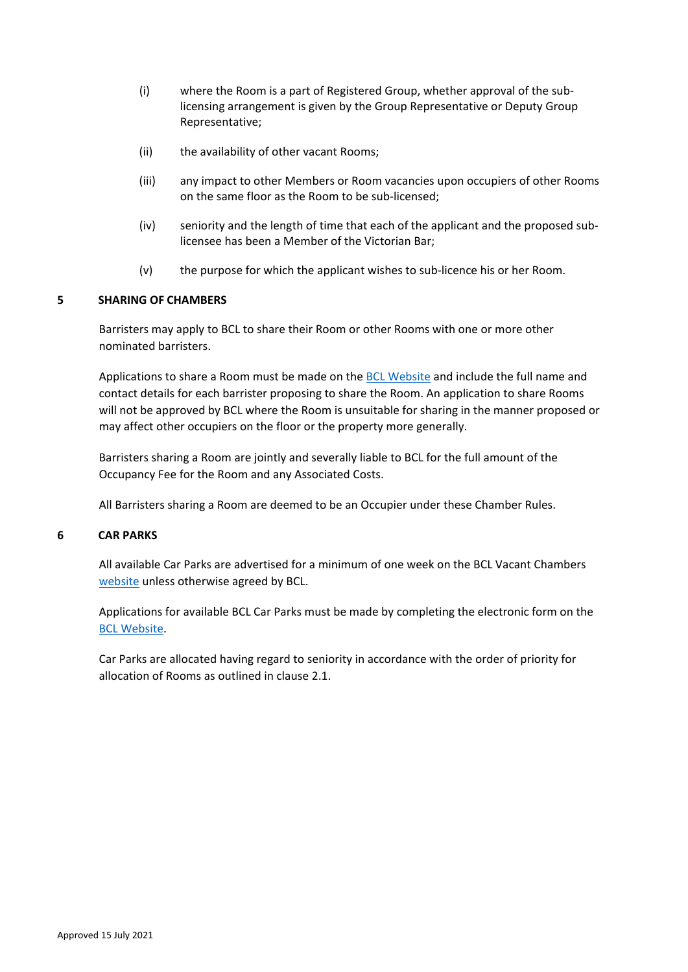- (i) where the Room is a part of Registered Group, whether approval of the sublicensing arrangement is given by the Group Representative or Deputy Group Representative;
- (ii) the availability of other vacant Rooms;
- (iii) any impact to other Members or Room vacancies upon occupiers of other Rooms on the same floor as the Room to be sub-licensed;
- (iv) seniority and the length of time that each of the applicant and the proposed sublicensee has been a Member of the Victorian Bar;
- (v) the purpose for which the applicant wishes to sub-licence his or her Room.

## **5 SHARING OF CHAMBERS**

Barristers may apply to BCL to share their Room or other Rooms with one or more other nominated barristers.

Applications to share a Room must be made on the **BCL Website and include the full name and** contact details for each barrister proposing to share the Room. An application to share Rooms will not be approved by BCL where the Room is unsuitable for sharing in the manner proposed or may affect other occupiers on the floor or the property more generally.

Barristers sharing a Room are jointly and severally liable to BCL for the full amount of the Occupancy Fee for the Room and any Associated Costs.

All Barristers sharing a Room are deemed to be an Occupier under these Chamber Rules.

## **6 CAR PARKS**

All available Car Parks are advertised for a minimum of one week on the [BCL Vacant Chambers](https://www.bcl.net.au/chambers/vacancies/) [website](https://www.bcl.net.au/property/vacancies/) unless otherwise agreed by BCL.

Applications for available BCL Car Parks must be made by completing the electronic form on the [BCL Website.](https://www.bcl.net.au/chambers/vacancies/)

Car Parks are allocated having regard to seniority in accordance with the order of priority for allocation of Rooms as outlined in clause [2.1.](#page-2-0)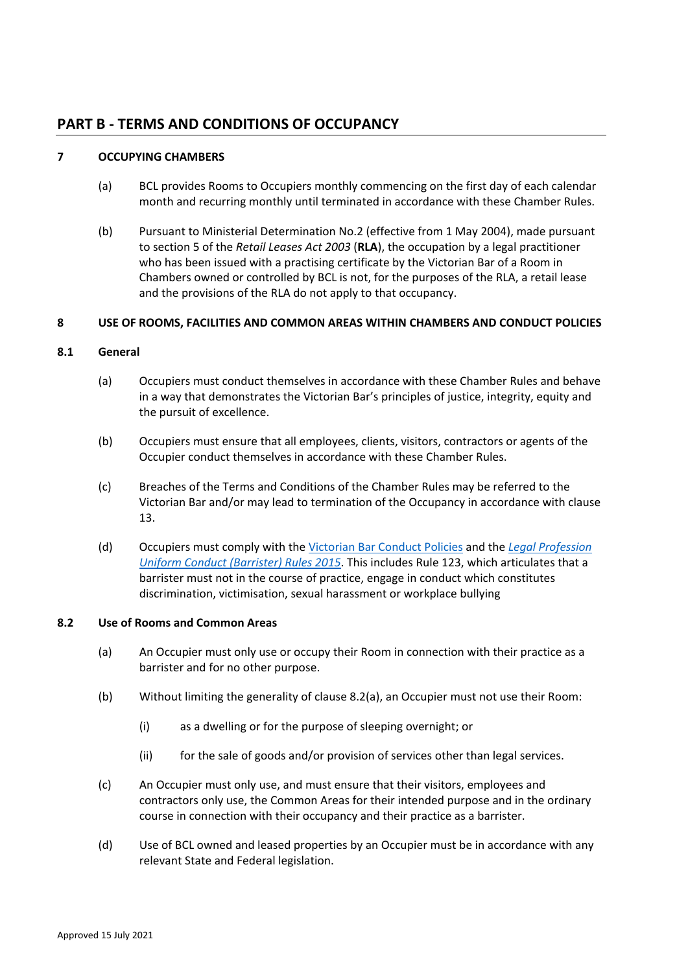## **PART B - TERMS AND CONDITIONS OF OCCUPANCY**

## **7 OCCUPYING CHAMBERS**

- (a) BCL provides Rooms to Occupiers monthly commencing on the first day of each calendar month and recurring monthly until terminated in accordance with these Chamber Rules.
- (b) Pursuant to Ministerial Determination No.2 (effective from 1 May 2004), made pursuant to section 5 of the *Retail Leases Act 2003* (**RLA**), the occupation by a legal practitioner who has been issued with a practising certificate by the Victorian Bar of a Room in Chambers owned or controlled by BCL is not, for the purposes of the RLA, a retail lease and the provisions of the RLA do not apply to that occupancy.

## **8 USE OF ROOMS, FACILITIES AND COMMON AREAS WITHIN CHAMBERS AND CONDUCT POLICIES**

## **8.1 General**

- (a) Occupiers must conduct themselves in accordance with these Chamber Rules and behave in a way that demonstrates the Victorian Bar's principles of justice, integrity, equity and the pursuit of excellence.
- (b) Occupiers must ensure that all employees, clients, visitors, contractors or agents of the Occupier conduct themselves in accordance with these Chamber Rules.
- (c) Breaches of the Terms and Conditions of the Chamber Rules may be referred to the Victorian Bar and/or may lead to termination of the Occupancy in accordance with clause [13.](#page-13-0)
- (d) Occupiers must comply with the [Victorian Bar Conduct Policies](https://www.vicbar.com.au/public/about/governance/internal-conduct-policies-and-reports) and the *[Legal Profession](https://www.vicbar.com.au/file/8184)  [Uniform Conduct \(Barrister\) Rules 2015](https://www.vicbar.com.au/file/8184)*. This includes Rule 123, which articulates that a barrister must not in the course of practice, engage in conduct which constitutes discrimination, victimisation, sexual harassment or workplace bullying

## <span id="page-8-0"></span>**8.2 Use of Rooms and Common Areas**

- (a) An Occupier must only use or occupy their Room in connection with their practice as a barrister and for no other purpose.
- (b) Without limiting the generality of clause [8.2\(a\),](#page-8-0) an Occupier must not use their Room:
	- (i) as a dwelling or for the purpose of sleeping overnight; or
	- (ii) for the sale of goods and/or provision of services other than legal services.
- (c) An Occupier must only use, and must ensure that their visitors, employees and contractors only use, the Common Areas for their intended purpose and in the ordinary course in connection with their occupancy and their practice as a barrister.
- (d) Use of BCL owned and leased properties by an Occupier must be in accordance with any relevant State and Federal legislation.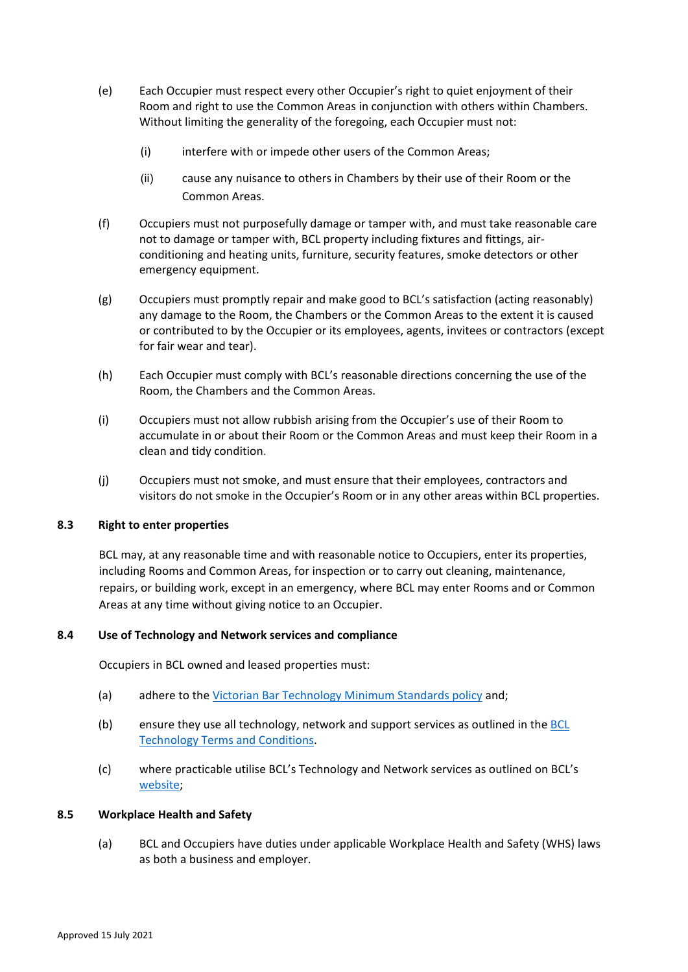- (e) Each Occupier must respect every other Occupier's right to quiet enjoyment of their Room and right to use the Common Areas in conjunction with others within Chambers. Without limiting the generality of the foregoing, each Occupier must not:
	- (i) interfere with or impede other users of the Common Areas;
	- (ii) cause any nuisance to others in Chambers by their use of their Room or the Common Areas.
- (f) Occupiers must not purposefully damage or tamper with, and must take reasonable care not to damage or tamper with, BCL property including fixtures and fittings, airconditioning and heating units, furniture, security features, smoke detectors or other emergency equipment.
- (g) Occupiers must promptly repair and make good to BCL's satisfaction (acting reasonably) any damage to the Room, the Chambers or the Common Areas to the extent it is caused or contributed to by the Occupier or its employees, agents, invitees or contractors (except for fair wear and tear).
- (h) Each Occupier must comply with BCL's reasonable directions concerning the use of the Room, the Chambers and the Common Areas.
- (i) Occupiers must not allow rubbish arising from the Occupier's use of their Room to accumulate in or about their Room or the Common Areas and must keep their Room in a clean and tidy condition.
- (j) Occupiers must not smoke, and must ensure that their employees, contractors and visitors do not smoke in the Occupier's Room or in any other areas within BCL properties.

## **8.3 Right to enter properties**

BCL may, at any reasonable time and with reasonable notice to Occupiers, enter its properties, including Rooms and Common Areas, for inspection or to carry out cleaning, maintenance, repairs, or building work, except in an emergency, where BCL may enter Rooms and or Common Areas at any time without giving notice to an Occupier.

## **8.4 Use of Technology and Network services and compliance**

Occupiers in BCL owned and leased properties must:

- (a) adhere to the [Victorian Bar Technology Minimum Standards policy](https://bcl.net.au/app/uploads/Technology-Minimum-Standards-May-2020.pdf) and;
- (b) ensure they use all technology, network and support services as outlined in the [BCL](https://www.bcl.net.au/app/uploads/BCL-Technology_Usage_Terms_and_Conditions_and_AUP-Effective-16-August-2018..pdf)  [Technology Terms and Conditions.](https://www.bcl.net.au/app/uploads/BCL-Technology_Usage_Terms_and_Conditions_and_AUP-Effective-16-August-2018..pdf)
- (c) where practicable utilise BCL's Technology and Network services as outlined on BCL's [website;](https://www.bcl.net.au/)

## **8.5 Workplace Health and Safety**

(a) BCL and Occupiers have duties under applicable Workplace Health and Safety (WHS) laws as both a business and employer.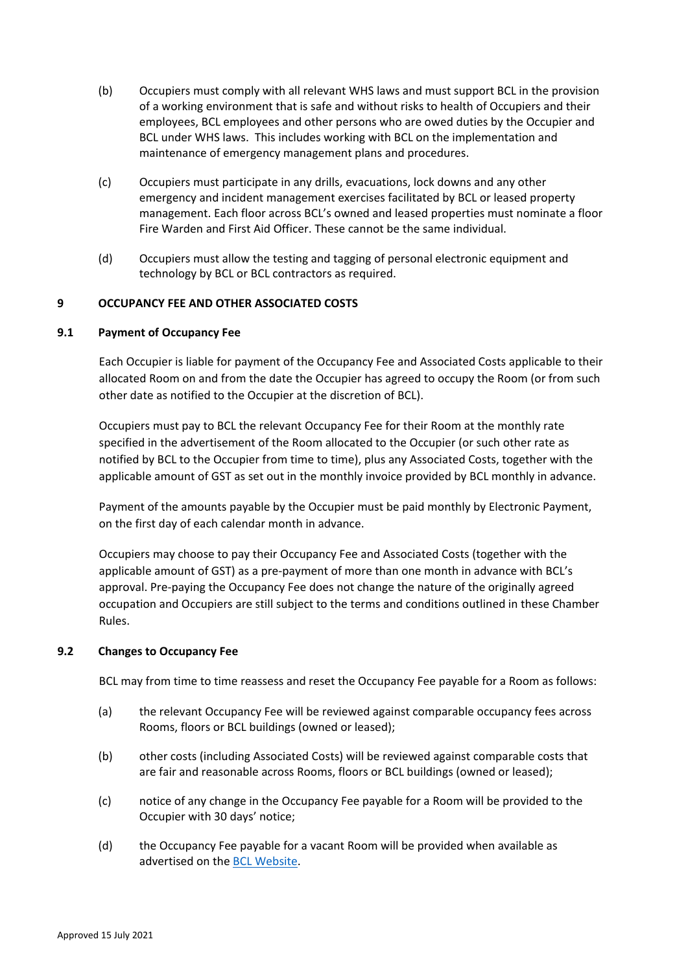- (b) Occupiers must comply with all relevant WHS laws and must support BCL in the provision of a working environment that is safe and without risks to health of Occupiers and their employees, BCL employees and other persons who are owed duties by the Occupier and BCL under WHS laws. This includes working with BCL on the implementation and maintenance of emergency management plans and procedures.
- (c) Occupiers must participate in any drills, evacuations, lock downs and any other emergency and incident management exercises facilitated by BCL or leased property management. Each floor across BCL's owned and leased properties must nominate a floor Fire Warden and First Aid Officer. These cannot be the same individual.
- (d) Occupiers must allow the testing and tagging of personal electronic equipment and technology by BCL or BCL contractors as required.

## **9 OCCUPANCY FEE AND OTHER ASSOCIATED COSTS**

## **9.1 Payment of Occupancy Fee**

Each Occupier is liable for payment of the Occupancy Fee and Associated Costs applicable to their allocated Room on and from the date the Occupier has agreed to occupy the Room (or from such other date as notified to the Occupier at the discretion of BCL).

Occupiers must pay to BCL the relevant Occupancy Fee for their Room at the monthly rate specified in the advertisement of the Room allocated to the Occupier (or such other rate as notified by BCL to the Occupier from time to time), plus any Associated Costs, together with the applicable amount of GST as set out in the monthly invoice provided by BCL monthly in advance.

Payment of the amounts payable by the Occupier must be paid monthly by Electronic Payment, on the first day of each calendar month in advance.

Occupiers may choose to pay their Occupancy Fee and Associated Costs (together with the applicable amount of GST) as a pre-payment of more than one month in advance with BCL's approval. Pre-paying the Occupancy Fee does not change the nature of the originally agreed occupation and Occupiers are still subject to the terms and conditions outlined in these Chamber Rules.

## **9.2 Changes to Occupancy Fee**

BCL may from time to time reassess and reset the Occupancy Fee payable for a Room as follows:

- (a) the relevant Occupancy Fee will be reviewed against comparable occupancy fees across Rooms, floors or BCL buildings (owned or leased);
- (b) other costs (including Associated Costs) will be reviewed against comparable costs that are fair and reasonable across Rooms, floors or BCL buildings (owned or leased);
- (c) notice of any change in the Occupancy Fee payable for a Room will be provided to the Occupier with 30 days' notice;
- (d) the Occupancy Fee payable for a vacant Room will be provided when available as advertised on th[e BCL Website.](https://www.bcl.net.au/chambers/vacancies/)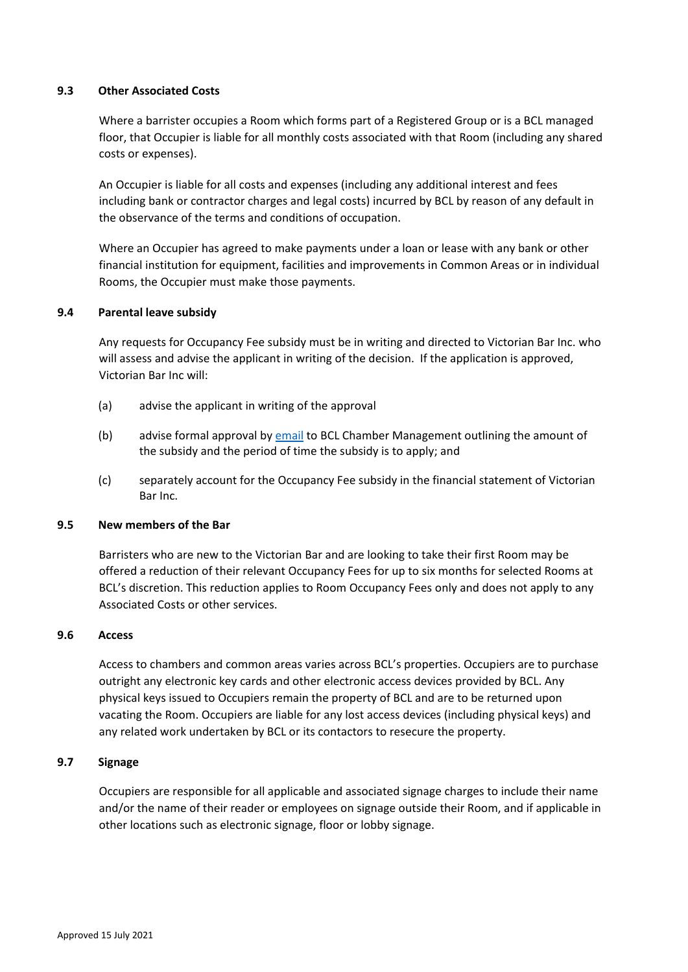## **9.3 Other Associated Costs**

Where a barrister occupies a Room which forms part of a Registered Group or is a BCL managed floor, that Occupier is liable for all monthly costs associated with that Room (including any shared costs or expenses).

An Occupier is liable for all costs and expenses (including any additional interest and fees including bank or contractor charges and legal costs) incurred by BCL by reason of any default in the observance of the terms and conditions of occupation.

Where an Occupier has agreed to make payments under a loan or lease with any bank or other financial institution for equipment, facilities and improvements in Common Areas or in individual Rooms, the Occupier must make those payments.

#### **9.4 Parental leave subsidy**

Any requests for Occupancy Fee subsidy must be in writing and directed to Victorian Bar Inc. who will assess and advise the applicant in writing of the decision. If the application is approved, Victorian Bar Inc will:

- (a) advise the applicant in writing of the approval
- (b) advise formal approval by [email](mailto:BCLchambers@vicbar.com.au) to BCL Chamber Management outlining the amount of the subsidy and the period of time the subsidy is to apply; and
- (c) separately account for the Occupancy Fee subsidy in the financial statement of Victorian Bar Inc.

#### **9.5 New members of the Bar**

Barristers who are new to the Victorian Bar and are looking to take their first Room may be offered a reduction of their relevant Occupancy Fees for up to six months for selected Rooms at BCL's discretion. This reduction applies to Room Occupancy Fees only and does not apply to any Associated Costs or other services.

#### **9.6 Access**

Access to chambers and common areas varies across BCL's properties. Occupiers are to purchase outright any electronic key cards and other electronic access devices provided by BCL. Any physical keys issued to Occupiers remain the property of BCL and are to be returned upon vacating the Room. Occupiers are liable for any lost access devices (including physical keys) and any related work undertaken by BCL or its contactors to resecure the property.

#### **9.7 Signage**

Occupiers are responsible for all applicable and associated signage charges to include their name and/or the name of their reader or employees on signage outside their Room, and if applicable in other locations such as electronic signage, floor or lobby signage.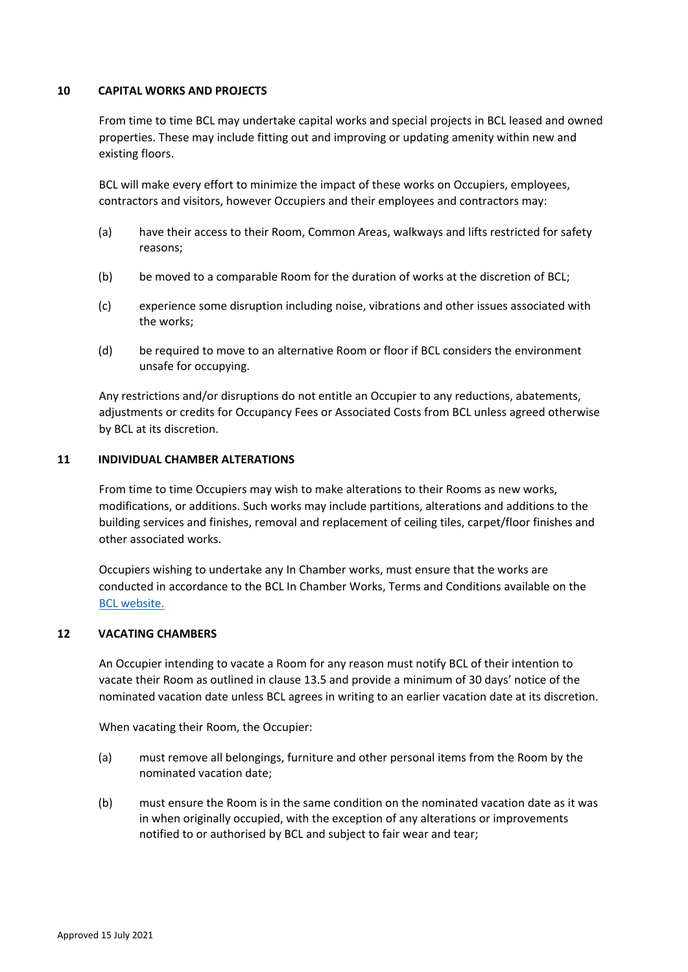#### **10 CAPITAL WORKS AND PROJECTS**

From time to time BCL may undertake capital works and special projects in BCL leased and owned properties. These may include fitting out and improving or updating amenity within new and existing floors.

BCL will make every effort to minimize the impact of these works on Occupiers, employees, contractors and visitors, however Occupiers and their employees and contractors may:

- (a) have their access to their Room, Common Areas, walkways and lifts restricted for safety reasons;
- (b) be moved to a comparable Room for the duration of works at the discretion of BCL;
- (c) experience some disruption including noise, vibrations and other issues associated with the works;
- (d) be required to move to an alternative Room or floor if BCL considers the environment unsafe for occupying.

Any restrictions and/or disruptions do not entitle an Occupier to any reductions, abatements, adjustments or credits for Occupancy Fees or Associated Costs from BCL unless agreed otherwise by BCL at its discretion.

## **11 INDIVIDUAL CHAMBER ALTERATIONS**

From time to time Occupiers may wish to make alterations to their Rooms as new works, modifications, or additions. Such works may include partitions, alterations and additions to the building services and finishes, removal and replacement of ceiling tiles, carpet/floor finishes and other associated works.

Occupiers wishing to undertake any In Chamber works, must ensure that the works are conducted in accordance to the BCL In Chamber Works, Terms and Conditions available on the [BCL website.](https://www.bcl.net.au/property/property-services-support/#property-tcs)

## <span id="page-12-0"></span>**12 VACATING CHAMBERS**

An Occupier intending to vacate a Room for any reason must notify BCL of their intention to vacate their Room as outlined in clause 13.5 and provide a minimum of 30 days' notice of the nominated vacation date unless BCL agrees in writing to an earlier vacation date at its discretion.

When vacating their Room, the Occupier:

- (a) must remove all belongings, furniture and other personal items from the Room by the nominated vacation date;
- (b) must ensure the Room is in the same condition on the nominated vacation date as it was in when originally occupied, with the exception of any alterations or improvements notified to or authorised by BCL and subject to fair wear and tear;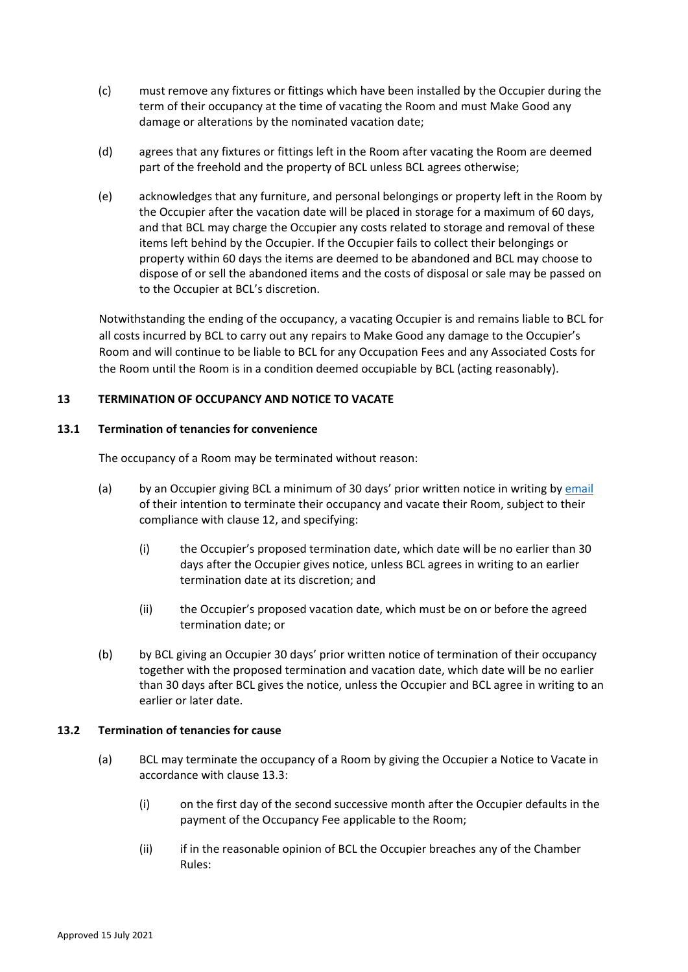- (c) must remove any fixtures or fittings which have been installed by the Occupier during the term of their occupancy at the time of vacating the Room and must Make Good any damage or alterations by the nominated vacation date;
- (d) agrees that any fixtures or fittings left in the Room after vacating the Room are deemed part of the freehold and the property of BCL unless BCL agrees otherwise;
- (e) acknowledges that any furniture, and personal belongings or property left in the Room by the Occupier after the vacation date will be placed in storage for a maximum of 60 days, and that BCL may charge the Occupier any costs related to storage and removal of these items left behind by the Occupier. If the Occupier fails to collect their belongings or property within 60 days the items are deemed to be abandoned and BCL may choose to dispose of or sell the abandoned items and the costs of disposal or sale may be passed on to the Occupier at BCL's discretion.

Notwithstanding the ending of the occupancy, a vacating Occupier is and remains liable to BCL for all costs incurred by BCL to carry out any repairs to Make Good any damage to the Occupier's Room and will continue to be liable to BCL for any Occupation Fees and any Associated Costs for the Room until the Room is in a condition deemed occupiable by BCL (acting reasonably).

## <span id="page-13-0"></span>**13 TERMINATION OF OCCUPANCY AND NOTICE TO VACATE**

## **13.1 Termination of tenancies for convenience**

The occupancy of a Room may be terminated without reason:

- (a) by an Occupier giving BCL a minimum of 30 days' prior written notice in writing by [email](mailto:BCLChambers@vicbar.com.au) of their intention to terminate their occupancy and vacate their Room, subject to their compliance with clause [12,](#page-12-0) and specifying:
	- (i) the Occupier's proposed termination date, which date will be no earlier than 30 days after the Occupier gives notice, unless BCL agrees in writing to an earlier termination date at its discretion; and
	- (ii) the Occupier's proposed vacation date, which must be on or before the agreed termination date; or
- (b) by BCL giving an Occupier 30 days' prior written notice of termination of their occupancy together with the proposed termination and vacation date, which date will be no earlier than 30 days after BCL gives the notice, unless the Occupier and BCL agree in writing to an earlier or later date.

## <span id="page-13-1"></span>**13.2 Termination of tenancies for cause**

- (a) BCL may terminate the occupancy of a Room by giving the Occupier a Notice to Vacate in accordance with clause [13.3:](#page-14-0)
	- (i) on the first day of the second successive month after the Occupier defaults in the payment of the Occupancy Fee applicable to the Room;
	- (ii) if in the reasonable opinion of BCL the Occupier breaches any of the Chamber Rules: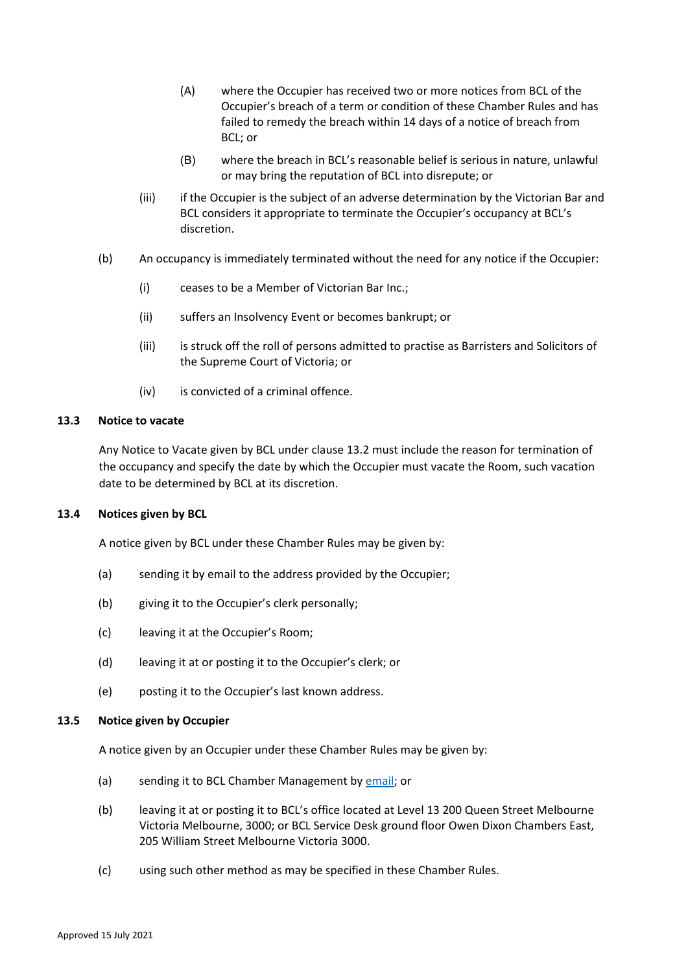- (A) where the Occupier has received two or more notices from BCL of the Occupier's breach of a term or condition of these Chamber Rules and has failed to remedy the breach within 14 days of a notice of breach from BCL; or
- (B) where the breach in BCL's reasonable belief is serious in nature, unlawful or may bring the reputation of BCL into disrepute; or
- (iii) if the Occupier is the subject of an adverse determination by the Victorian Bar and BCL considers it appropriate to terminate the Occupier's occupancy at BCL's discretion.
- (b) An occupancy is immediately terminated without the need for any notice if the Occupier:
	- (i) ceases to be a Member of Victorian Bar Inc.;
	- (ii) suffers an Insolvency Event or becomes bankrupt; or
	- (iii) is struck off the roll of persons admitted to practise as Barristers and Solicitors of the Supreme Court of Victoria; or
	- (iv) is convicted of a criminal offence.

#### <span id="page-14-0"></span>**13.3 Notice to vacate**

Any Notice to Vacate given by BCL under clause [13.2](#page-13-1) must include the reason for termination of the occupancy and specify the date by which the Occupier must vacate the Room, such vacation date to be determined by BCL at its discretion.

#### **13.4 Notices given by BCL**

A notice given by BCL under these Chamber Rules may be given by:

- (a) sending it by email to the address provided by the Occupier;
- (b) giving it to the Occupier's clerk personally;
- (c) leaving it at the Occupier's Room;
- (d) leaving it at or posting it to the Occupier's clerk; or
- (e) posting it to the Occupier's last known address.

#### **13.5 Notice given by Occupier**

A notice given by an Occupier under these Chamber Rules may be given by:

- (a) sending it to BCL Chamber Management b[y email;](mailto:BCLChambers@vicbar.com.au) or
- (b) leaving it at or posting it to BCL's office located at Level 13 200 Queen Street Melbourne Victoria Melbourne, 3000; or BCL Service Desk ground floor Owen Dixon Chambers East, 205 William Street Melbourne Victoria 3000.
- (c) using such other method as may be specified in these Chamber Rules.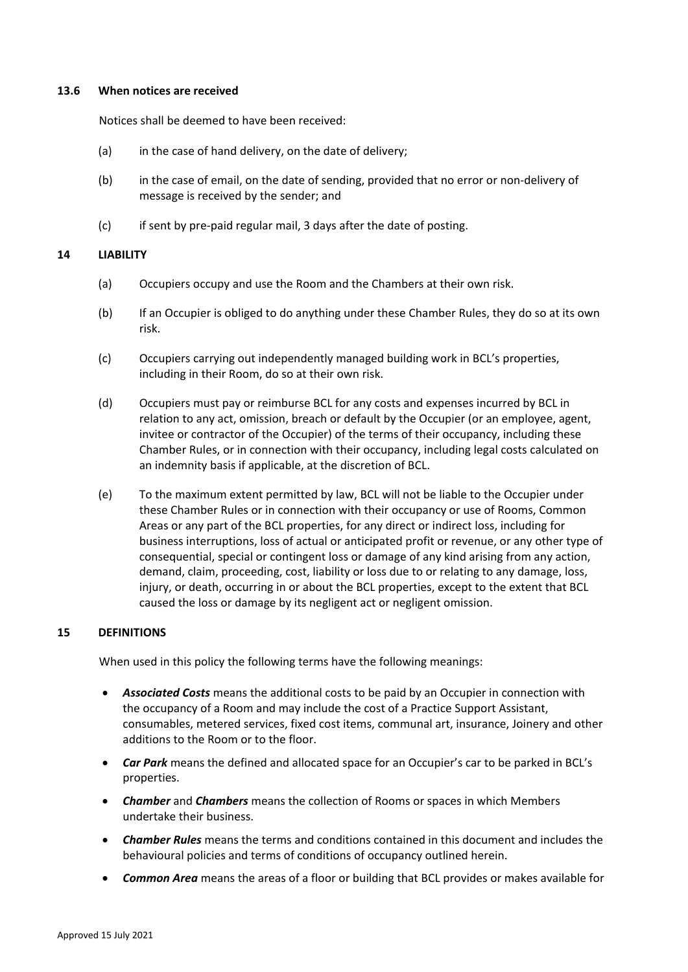#### **13.6 When notices are received**

Notices shall be deemed to have been received:

- (a) in the case of hand delivery, on the date of delivery;
- (b) in the case of email, on the date of sending, provided that no error or non-delivery of message is received by the sender; and
- (c) if sent by pre-paid regular mail, 3 days after the date of posting.

#### **14 LIABILITY**

- (a) Occupiers occupy and use the Room and the Chambers at their own risk.
- (b) If an Occupier is obliged to do anything under these Chamber Rules, they do so at its own risk.
- (c) Occupiers carrying out independently managed building work in BCL's properties, including in their Room, do so at their own risk.
- (d) Occupiers must pay or reimburse BCL for any costs and expenses incurred by BCL in relation to any act, omission, breach or default by the Occupier (or an employee, agent, invitee or contractor of the Occupier) of the terms of their occupancy, including these Chamber Rules, or in connection with their occupancy, including legal costs calculated on an indemnity basis if applicable, at the discretion of BCL.
- (e) To the maximum extent permitted by law, BCL will not be liable to the Occupier under these Chamber Rules or in connection with their occupancy or use of Rooms, Common Areas or any part of the BCL properties, for any direct or indirect loss, including for business interruptions, loss of actual or anticipated profit or revenue, or any other type of consequential, special or contingent loss or damage of any kind arising from any action, demand, claim, proceeding, cost, liability or loss due to or relating to any damage, loss, injury, or death, occurring in or about the BCL properties, except to the extent that BCL caused the loss or damage by its negligent act or negligent omission.

## **15 DEFINITIONS**

When used in this policy the following terms have the following meanings:

- *Associated Costs* means the additional costs to be paid by an Occupier in connection with the occupancy of a Room and may include the cost of a Practice Support Assistant, consumables, metered services, fixed cost items, communal art, insurance, Joinery and other additions to the Room or to the floor.
- *Car Park* means the defined and allocated space for an Occupier's car to be parked in BCL's properties.
- *Chamber* and *Chambers* means the collection of Rooms or spaces in which Members undertake their business.
- *Chamber Rules* means the terms and conditions contained in this document and includes the behavioural policies and terms of conditions of occupancy outlined herein.
- *Common Area* means the areas of a floor or building that BCL provides or makes available for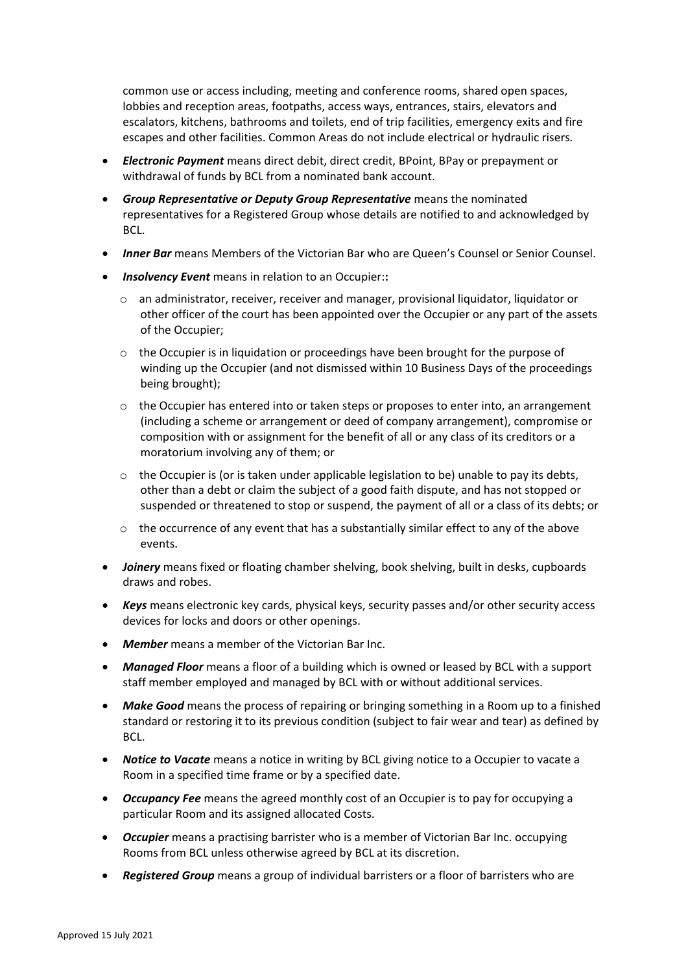common use or access including, meeting and conference rooms, shared open spaces, lobbies and reception areas, footpaths, access ways, entrances, stairs, elevators and escalators, kitchens, bathrooms and toilets, end of trip facilities, emergency exits and fire escapes and other facilities. Common Areas do not include electrical or hydraulic risers*.* 

- *Electronic Payment* means direct debit, direct credit, BPoint, BPay or prepayment or withdrawal of funds by BCL from a nominated bank account.
- *Group Representative or Deputy Group Representative* means the nominated representatives for a Registered Group whose details are notified to and acknowledged by BCL.
- **Inner Bar** means Members of the Victorian Bar who are Queen's Counsel or Senior Counsel.
- *Insolvency Event* means in relation to an Occupier:**:**
	- o an administrator, receiver, receiver and manager, provisional liquidator, liquidator or other officer of the court has been appointed over the Occupier or any part of the assets of the Occupier;
	- $\circ$  the Occupier is in liquidation or proceedings have been brought for the purpose of winding up the Occupier (and not dismissed within 10 Business Days of the proceedings being brought);
	- o the Occupier has entered into or taken steps or proposes to enter into, an arrangement (including a scheme or arrangement or deed of company arrangement), compromise or composition with or assignment for the benefit of all or any class of its creditors or a moratorium involving any of them; or
	- $\circ$  the Occupier is (or is taken under applicable legislation to be) unable to pay its debts, other than a debt or claim the subject of a good faith dispute, and has not stopped or suspended or threatened to stop or suspend, the payment of all or a class of its debts; or
	- $\circ$  the occurrence of any event that has a substantially similar effect to any of the above events.
- *Joinery* means fixed or floating chamber shelving, book shelving, built in desks, cupboards draws and robes.
- *Keys* means electronic key cards, physical keys, security passes and/or other security access devices for locks and doors or other openings.
- *Member* means a member of the Victorian Bar Inc.
- *Managed Floor* means a floor of a building which is owned or leased by BCL with a support staff member employed and managed by BCL with or without additional services.
- *Make Good* means the process of repairing or bringing something in a Room up to a finished standard or restoring it to its previous condition (subject to fair wear and tear) as defined by BCL.
- *Notice to Vacate* means a notice in writing by BCL giving notice to a Occupier to vacate a Room in a specified time frame or by a specified date.
- *Occupancy Fee* means the agreed monthly cost of an Occupier is to pay for occupying a particular Room and its assigned allocated Costs.
- *Occupier* means a practising barrister who is a member of Victorian Bar Inc. occupying Rooms from BCL unless otherwise agreed by BCL at its discretion.
- *Registered Group* means a group of individual barristers or a floor of barristers who are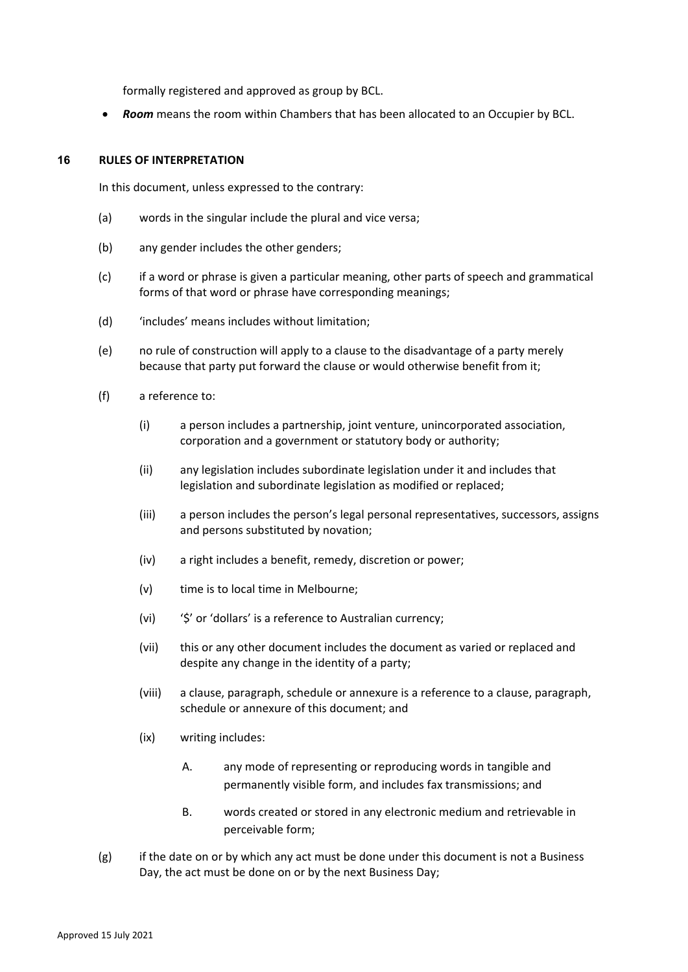formally registered and approved as group by BCL.

• *Room* means the room within Chambers that has been allocated to an Occupier by BCL.

## **16 RULES OF INTERPRETATION**

In this document, unless expressed to the contrary:

- (a) words in the singular include the plural and vice versa;
- (b) any gender includes the other genders;
- (c) if a word or phrase is given a particular meaning, other parts of speech and grammatical forms of that word or phrase have corresponding meanings;
- (d) 'includes' means includes without limitation;
- (e) no rule of construction will apply to a clause to the disadvantage of a party merely because that party put forward the clause or would otherwise benefit from it;
- (f) a reference to:
	- (i) a person includes a partnership, joint venture, unincorporated association, corporation and a government or statutory body or authority;
	- (ii) any legislation includes subordinate legislation under it and includes that legislation and subordinate legislation as modified or replaced;
	- (iii) a person includes the person's legal personal representatives, successors, assigns and persons substituted by novation;
	- (iv) a right includes a benefit, remedy, discretion or power;
	- (v) time is to local time in Melbourne;
	- (vi) '\$' or 'dollars' is a reference to Australian currency;
	- (vii) this or any other document includes the document as varied or replaced and despite any change in the identity of a party;
	- (viii) a clause, paragraph, schedule or annexure is a reference to a clause, paragraph, schedule or annexure of this document; and
	- (ix) writing includes:
		- A. any mode of representing or reproducing words in tangible and permanently visible form, and includes fax transmissions; and
		- B. words created or stored in any electronic medium and retrievable in perceivable form;
- $(g)$  if the date on or by which any act must be done under this document is not a Business Day, the act must be done on or by the next Business Day;